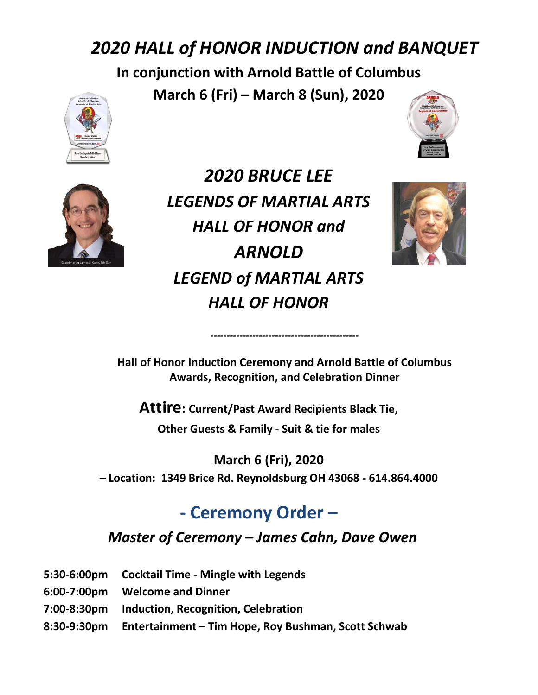# *2020 HALL of HONOR INDUCTION and BANQUET*

**In conjunction with Arnold Battle of Columbus**

**March 6 (Fri) – March 8 (Sun), 2020**







*2020 BRUCE LEE LEGENDS OF MARTIAL ARTS HALL OF HONOR and ARNOLD LEGEND of MARTIAL ARTS HALL OF HONOR*



**Hall of Honor Induction Ceremony and Arnold Battle of Columbus Awards, Recognition, and Celebration Dinner** 

*----------------------------------------------*

**Attire: Current/Past Award Recipients Black Tie,** 

**Other Guests & Family - Suit & tie for males**

**March 6 (Fri), 2020 – Location: 1349 Brice Rd. Reynoldsburg OH 43068 - 614.864.4000**

# **- Ceremony Order –**

### *Master of Ceremony – James Cahn, Dave Owen*

- **5:30-6:00pm Cocktail Time - Mingle with Legends**
- **6:00-7:00pm Welcome and Dinner**
- **7:00-8:30pm Induction, Recognition, Celebration**
- **8:30-9:30pm Entertainment – Tim Hope, Roy Bushman, Scott Schwab**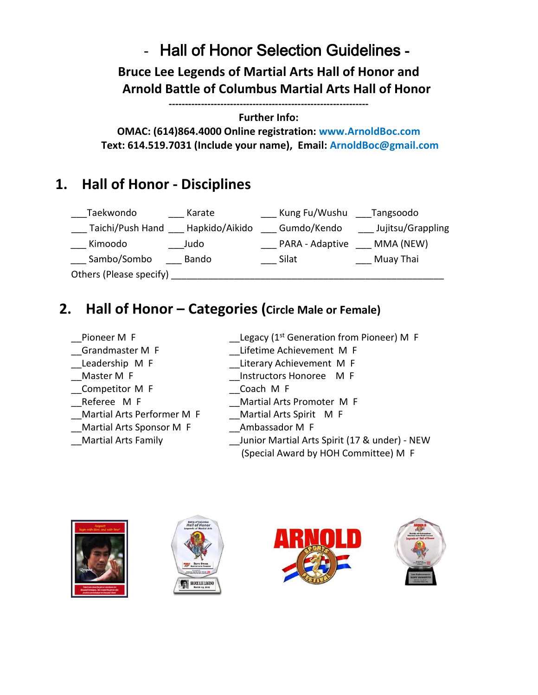# - Hall of Honor Selection Guidelines -

**Bruce Lee Legends of Martial Arts Hall of Honor and Arnold Battle of Columbus Martial Arts Hall of Honor**

**--------------------------------------------------------------**

### **Further Info:**

**OMAC: (614)864.4000 Online registration: www.ArnoldBoc.com Text: 614.519.7031 (Include your name), Email: ArnoldBoc@gmail.com**

## **1. Hall of Honor - Disciplines**

| Taekwondo               | Karate         | Kung Fu/Wushu   | Tangsoodo         |
|-------------------------|----------------|-----------------|-------------------|
| Taichi/Push Hand        | Hapkido/Aikido | Gumdo/Kendo     | Jujitsu/Grappling |
| Kimoodo                 | Judo           | PARA - Adaptive | MMA (NEW)         |
| Sambo/Sombo             | Bando          | Silat           | Muay Thai         |
| Others (Please specify) |                |                 |                   |

## **2. Hall of Honor – Categories (Circle Male or Female)**

- Pioneer M F
- 
- 
- 
- \_\_Competitor M F \_\_Coach M F
- 
- 
- \_\_Martial Arts Sponsor M F \_\_Ambassador M F
- 
- Legacy ( $1^{st}$  Generation from Pioneer) M F
- \_\_Grandmaster M F \_\_Lifetime Achievement M F
- Leadership M F Literary Achievement M F
- \_\_Master M F \_\_Instructors Honoree M F
	-
- \_\_Referee M F \_\_Martial Arts Promoter M F
	- Martial Arts Performer M F Martial Arts Spirit M F
		-
- Martial Arts Family **Example 20 Studies I** Junior Martial Arts Spirit (17 & under) NEW
	- (Special Award by HOH Committee) M F







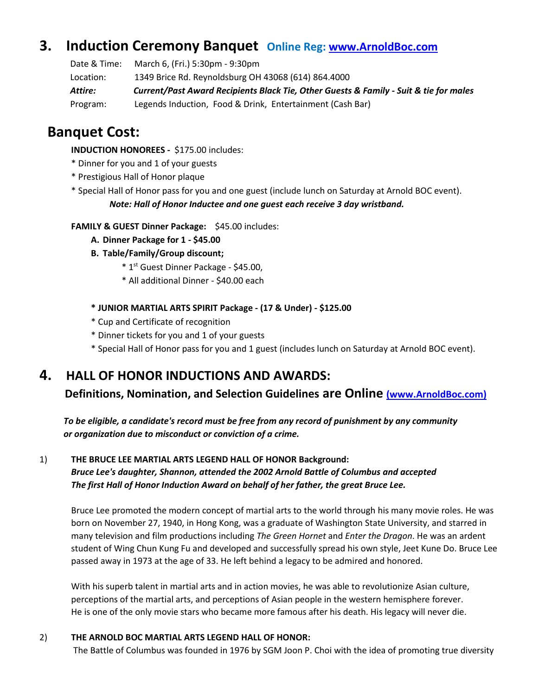### **3. Induction Ceremony Banquet Online Reg: [www.ArnoldBoc.com](http://www.arnoldboc.com/)**

 Date & Time: March 6, (Fri.) 5:30pm - 9:30pm Location: 1349 Brice Rd. Reynoldsburg OH 43068 (614) 864.4000 *Attire: Current/Past Award Recipients Black Tie, Other Guests & Family - Suit & tie for males* Program: Legends Induction, Food & Drink, Entertainment (Cash Bar)

### **Banquet Cost:**

 **INDUCTION HONOREES -** \$175.00 includes:

- \* Dinner for you and 1 of your guests
- \* Prestigious Hall of Honor plaque
- \* Special Hall of Honor pass for you and one guest (include lunch on Saturday at Arnold BOC event). *Note: Hall of Honor Inductee and one guest each receive 3 day wristband.*

**FAMILY & GUEST Dinner Package:** \$45.00 includes:

- **A. Dinner Package for 1 - \$45.00**
- **B. Table/Family/Group discount;**
- \* 1 st Guest Dinner Package \$45.00,
	- \* All additional Dinner \$40.00 each

**\* JUNIOR MARTIAL ARTS SPIRIT Package - (17 & Under) - \$125.00**

- \* Cup and Certificate of recognition
- \* Dinner tickets for you and 1 of your guests
- \* Special Hall of Honor pass for you and 1 guest (includes lunch on Saturday at Arnold BOC event).

### **4. HALL OF HONOR INDUCTIONS AND AWARDS:**

 **Definitions, Nomination, and Selection Guidelines are Online [\(www.ArnoldBoc.com\)](http://(www.arnoldboc.com/)** 

 *To be eligible, a candidate's record must be free from any record of punishment by any community or organization due to misconduct or conviction of a crime.*

1) **THE BRUCE LEE MARTIAL ARTS LEGEND HALL OF HONOR Background:** *Bruce Lee's daughter, Shannon, attended the 2002 Arnold Battle of Columbus and accepted The first Hall of Honor Induction Award on behalf of her father, the great Bruce Lee.*

Bruce Lee promoted the modern concept of martial arts to the world through his many movie roles. He was born on November 27, 1940, in Hong Kong, was a graduate of Washington State University, and starred in many television and film productions including *The Green Hornet* and *Enter the Dragon*. He was an ardent student of Wing Chun Kung Fu and developed and successfully spread his own style, Jeet Kune Do. Bruce Lee passed away in 1973 at the age of 33. He left behind a legacy to be admired and honored.

With his superb talent in martial arts and in action movies, he was able to revolutionize Asian culture, perceptions of the martial arts, and perceptions of Asian people in the western hemisphere forever. He is one of the only movie stars who became more famous after his death. His legacy will never die.

#### 2) **THE ARNOLD BOC MARTIAL ARTS LEGEND HALL OF HONOR:**

The Battle of Columbus was founded in 1976 by SGM Joon P. Choi with the idea of promoting true diversity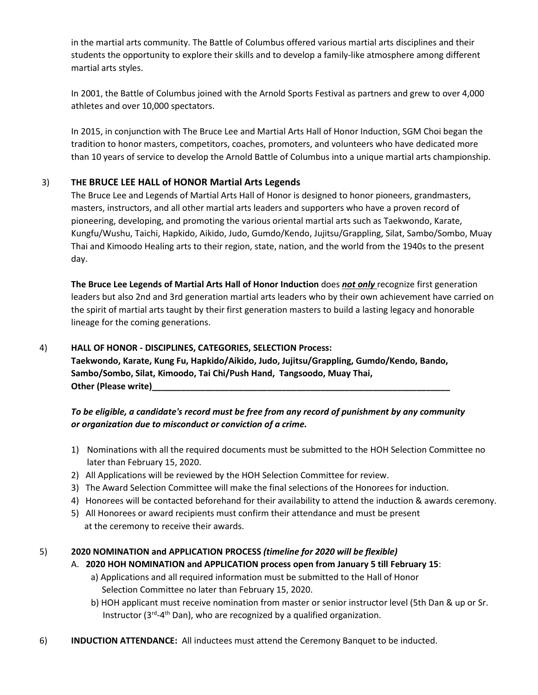in the martial arts community. The Battle of Columbus offered various martial arts disciplines and their students the opportunity to explore their skills and to develop a family-like atmosphere among different martial arts styles.

In 2001, the Battle of Columbus joined with the Arnold Sports Festival as partners and grew to over 4,000 athletes and over 10,000 spectators.

In 2015, in conjunction with The Bruce Lee and Martial Arts Hall of Honor Induction, SGM Choi began the tradition to honor masters, competitors, coaches, promoters, and volunteers who have dedicated more than 10 years of service to develop the Arnold Battle of Columbus into a unique martial arts championship.

#### 3) **THE BRUCE LEE HALL of HONOR Martial Arts Legends**

The Bruce Lee and Legends of Martial Arts Hall of Honor is designed to honor pioneers, grandmasters, masters, instructors, and all other martial arts leaders and supporters who have a proven record of pioneering, developing, and promoting the various oriental martial arts such as Taekwondo, Karate, Kungfu/Wushu, Taichi, Hapkido, Aikido, Judo, Gumdo/Kendo, Jujitsu/Grappling, Silat, Sambo/Sombo, Muay Thai and Kimoodo Healing arts to their region, state, nation, and the world from the 1940s to the present day.

**The Bruce Lee Legends of Martial Arts Hall of Honor Induction** does *not only* recognize first generation leaders but also 2nd and 3rd generation martial arts leaders who by their own achievement have carried on the spirit of martial arts taught by their first generation masters to build a lasting legacy and honorable lineage for the coming generations.

#### 4) **HALL OF HONOR - DISCIPLINES, CATEGORIES, SELECTION Process:**

**Taekwondo, Karate, Kung Fu, Hapkido/Aikido, Judo, Jujitsu/Grappling, Gumdo/Kendo, Bando, Sambo/Sombo, Silat, Kimoodo, Tai Chi/Push Hand, Tangsoodo, Muay Thai, Other** (Please write)

### *To be eligible, a candidate's record must be free from any record of punishment by any community or organization due to misconduct or conviction of a crime.*

- 1) Nominations with all the required documents must be submitted to the HOH Selection Committee no later than February 15, 2020.
- 2) All Applications will be reviewed by the HOH Selection Committee for review.
- 3) The Award Selection Committee will make the final selections of the Honorees for induction.
- 4) Honorees will be contacted beforehand for their availability to attend the induction & awards ceremony.
- 5) All Honorees or award recipients must confirm their attendance and must be present at the ceremony to receive their awards.

#### 5) **2020 NOMINATION and APPLICATION PROCESS** *(timeline for 2020 will be flexible)*

- A. **2020 HOH NOMINATION and APPLICATION process open from January 5 till February 15**:
	- a) Applications and all required information must be submitted to the Hall of Honor Selection Committee no later than February 15, 2020.
	- b) HOH applicant must receive nomination from master or senior instructor level (5th Dan & up or Sr. Instructor (3<sup>rd</sup>-4<sup>th</sup> Dan), who are recognized by a qualified organization.
- 6) **INDUCTION ATTENDANCE:** All inductees must attend the Ceremony Banquet to be inducted.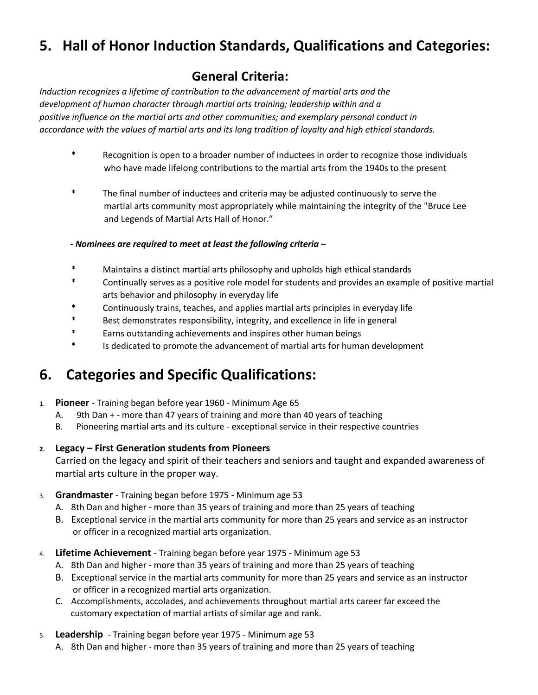# **5. Hall of Honor Induction Standards, Qualifications and Categories:**

### **General Criteria:**

*Induction recognizes a lifetime of contribution to the advancement of martial arts and the development of human character through martial arts training; leadership within and a positive influence on the martial arts and other communities; and exemplary personal conduct in accordance with the values of martial arts and its long tradition of loyalty and high ethical standards.*

- \* Recognition is open to a broader number of inductees in order to recognize those individuals who have made lifelong contributions to the martial arts from the 1940s to the present
- \* The final number of inductees and criteria may be adjusted continuously to serve the martial arts community most appropriately while maintaining the integrity of the "Bruce Lee and Legends of Martial Arts Hall of Honor."
- *- Nominees are required to meet at least the following criteria –*
- \* Maintains a distinct martial arts philosophy and upholds high ethical standards
- \* Continually serves as a positive role model for students and provides an example of positive martial arts behavior and philosophy in everyday life
- \* Continuously trains, teaches, and applies martial arts principles in everyday life
- \* Best demonstrates responsibility, integrity, and excellence in life in general
- \* Earns outstanding achievements and inspires other human beings
- \* Is dedicated to promote the advancement of martial arts for human development

## **6. Categories and Specific Qualifications:**

- 1. **Pioneer** Training began before year 1960 Minimum Age 65
	- A. 9th Dan + more than 47 years of training and more than 40 years of teaching
	- B. Pioneering martial arts and its culture exceptional service in their respective countries

### **2. Legacy – First Generation students from Pioneers**

Carried on the legacy and spirit of their teachers and seniors and taught and expanded awareness of martial arts culture in the proper way.

- 3. **Grandmaster** Training began before 1975 Minimum age 53
	- A. 8th Dan and higher more than 35 years of training and more than 25 years of teaching
	- B. Exceptional service in the martial arts community for more than 25 years and service as an instructor or officer in a recognized martial arts organization.
- 4. **Lifetime Achievement** Training began before year 1975 Minimum age 53
	- A. 8th Dan and higher more than 35 years of training and more than 25 years of teaching
	- B. Exceptional service in the martial arts community for more than 25 years and service as an instructor or officer in a recognized martial arts organization.
	- C. Accomplishments, accolades, and achievements throughout martial arts career far exceed the customary expectation of martial artists of similar age and rank.
- 5. **Leadership**  Training began before year 1975 Minimum age 53
	- A. 8th Dan and higher more than 35 years of training and more than 25 years of teaching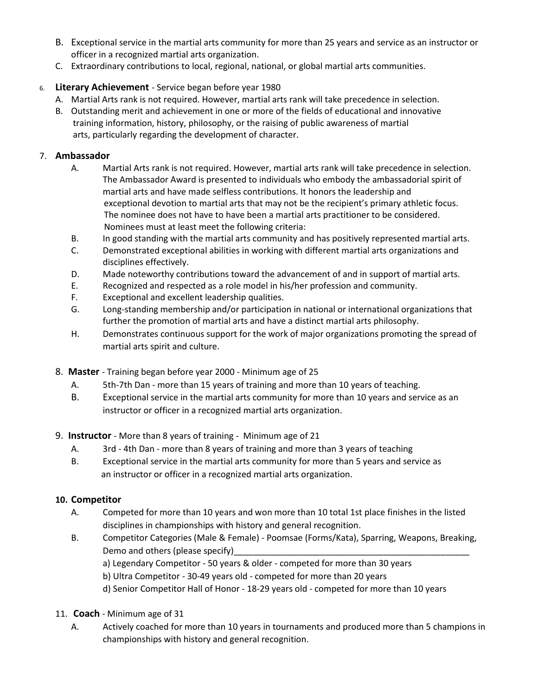- B. Exceptional service in the martial arts community for more than 25 years and service as an instructor or officer in a recognized martial arts organization.
- C. Extraordinary contributions to local, regional, national, or global martial arts communities.

### 6. **Literary Achievement** - Service began before year 1980

- A. Martial Arts rank is not required. However, martial arts rank will take precedence in selection.
- B. Outstanding merit and achievement in one or more of the fields of educational and innovative training information, history, philosophy, or the raising of public awareness of martial arts, particularly regarding the development of character.

#### 7. **Ambassador**

- A. Martial Arts rank is not required. However, martial arts rank will take precedence in selection. The Ambassador Award is presented to individuals who embody the ambassadorial spirit of martial arts and have made selfless contributions. It honors the leadership and exceptional devotion to martial arts that may not be the recipient's primary athletic focus. The nominee does not have to have been a martial arts practitioner to be considered. Nominees must at least meet the following criteria:
- B. In good standing with the martial arts community and has positively represented martial arts.
- C. Demonstrated exceptional abilities in working with different martial arts organizations and disciplines effectively.
- D. Made noteworthy contributions toward the advancement of and in support of martial arts.
- E. Recognized and respected as a role model in his/her profession and community.
- F. Exceptional and excellent leadership qualities.
- G. Long-standing membership and/or participation in national or international organizations that further the promotion of martial arts and have a distinct martial arts philosophy.
- H. Demonstrates continuous support for the work of major organizations promoting the spread of martial arts spirit and culture.
- 8. **Master**  Training began before year 2000 Minimum age of 25
	- A. 5th-7th Dan more than 15 years of training and more than 10 years of teaching.
	- B. Exceptional service in the martial arts community for more than 10 years and service as an instructor or officer in a recognized martial arts organization.
- 9. **Instructor**  More than 8 years of training Minimum age of 21
	- A. 3rd 4th Dan more than 8 years of training and more than 3 years of teaching
	- B. Exceptional service in the martial arts community for more than 5 years and service as an instructor or officer in a recognized martial arts organization.

### **10. Competitor**

- A. Competed for more than 10 years and won more than 10 total 1st place finishes in the listed disciplines in championships with history and general recognition.
- B. Competitor Categories (Male & Female) Poomsae (Forms/Kata), Sparring, Weapons, Breaking, Demo and others (please specify)
	- a) Legendary Competitor 50 years & older competed for more than 30 years
	- b) Ultra Competitor 30-49 years old competed for more than 20 years
	- d) Senior Competitor Hall of Honor 18-29 years old competed for more than 10 years
- 11. **Coach** Minimum age of 31
	- A. Actively coached for more than 10 years in tournaments and produced more than 5 champions in championships with history and general recognition.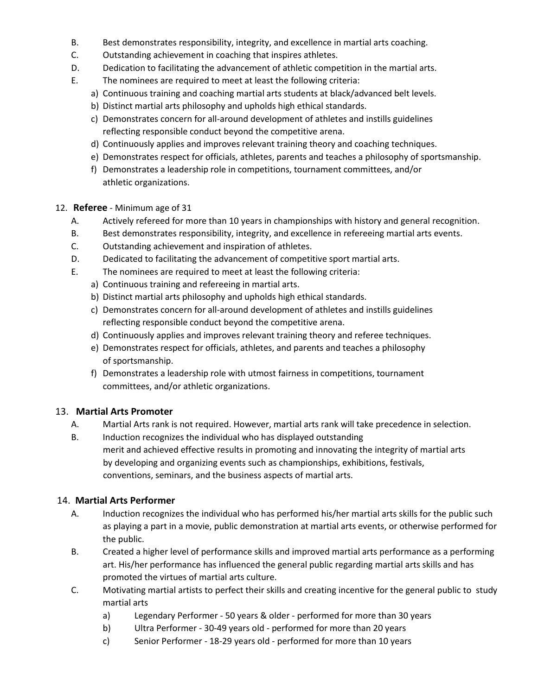- B. Best demonstrates responsibility, integrity, and excellence in martial arts coaching.
- C. Outstanding achievement in coaching that inspires athletes.
- D. Dedication to facilitating the advancement of athletic competition in the martial arts.
- E. The nominees are required to meet at least the following criteria:
	- a) Continuous training and coaching martial arts students at black/advanced belt levels.
	- b) Distinct martial arts philosophy and upholds high ethical standards.
	- c) Demonstrates concern for all-around development of athletes and instills guidelines reflecting responsible conduct beyond the competitive arena.
	- d) Continuously applies and improves relevant training theory and coaching techniques.
	- e) Demonstrates respect for officials, athletes, parents and teaches a philosophy of sportsmanship.
	- f) Demonstrates a leadership role in competitions, tournament committees, and/or athletic organizations.
- 12. **Referee** Minimum age of 31
	- A. Actively refereed for more than 10 years in championships with history and general recognition.
	- B. Best demonstrates responsibility, integrity, and excellence in refereeing martial arts events.
	- C. Outstanding achievement and inspiration of athletes.
	- D. Dedicated to facilitating the advancement of competitive sport martial arts.
	- E. The nominees are required to meet at least the following criteria:
		- a) Continuous training and refereeing in martial arts.
		- b) Distinct martial arts philosophy and upholds high ethical standards.
		- c) Demonstrates concern for all-around development of athletes and instills guidelines reflecting responsible conduct beyond the competitive arena.
		- d) Continuously applies and improves relevant training theory and referee techniques.
		- e) Demonstrates respect for officials, athletes, and parents and teaches a philosophy of sportsmanship.
		- f) Demonstrates a leadership role with utmost fairness in competitions, tournament committees, and/or athletic organizations.

### 13. **Martial Arts Promoter**

- A. Martial Arts rank is not required. However, martial arts rank will take precedence in selection.
- B. Induction recognizes the individual who has displayed outstanding merit and achieved effective results in promoting and innovating the integrity of martial arts by developing and organizing events such as championships, exhibitions, festivals, conventions, seminars, and the business aspects of martial arts.

### 14. **Martial Arts Performer**

- A. Induction recognizes the individual who has performed his/her martial arts skills for the public such as playing a part in a movie, public demonstration at martial arts events, or otherwise performed for the public.
- B. Created a higher level of performance skills and improved martial arts performance as a performing art. His/her performance has influenced the general public regarding martial arts skills and has promoted the virtues of martial arts culture.
- C. Motivating martial artists to perfect their skills and creating incentive for the general public to study martial arts
	- a) Legendary Performer 50 years & older performed for more than 30 years
	- b) Ultra Performer 30-49 years old performed for more than 20 years
	- c) Senior Performer 18-29 years old performed for more than 10 years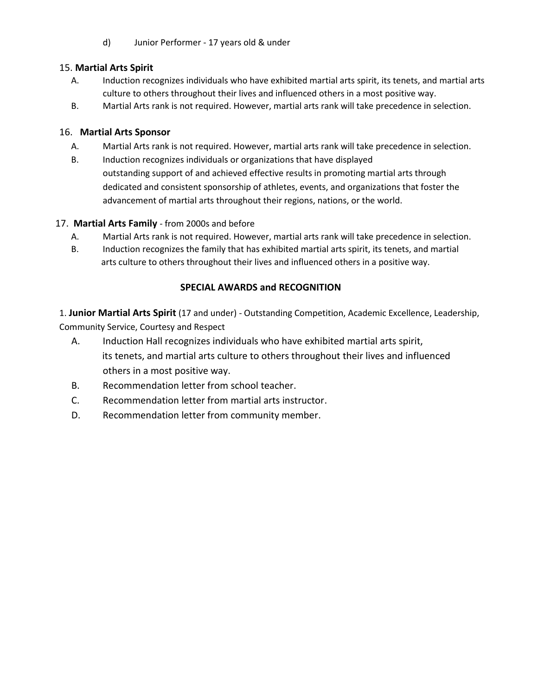d) Junior Performer - 17 years old & under

### 15. **Martial Arts Spirit**

- A. Induction recognizes individuals who have exhibited martial arts spirit, its tenets, and martial arts culture to others throughout their lives and influenced others in a most positive way.
- B. Martial Arts rank is not required. However, martial arts rank will take precedence in selection.

### 16. **Martial Arts Sponsor**

- A. Martial Arts rank is not required. However, martial arts rank will take precedence in selection.
- B. Induction recognizes individuals or organizations that have displayed outstanding support of and achieved effective results in promoting martial arts through dedicated and consistent sponsorship of athletes, events, and organizations that foster the advancement of martial arts throughout their regions, nations, or the world.

### 17. **Martial Arts Family** - from 2000s and before

- A. Martial Arts rank is not required. However, martial arts rank will take precedence in selection.
- B. Induction recognizes the family that has exhibited martial arts spirit, its tenets, and martial arts culture to others throughout their lives and influenced others in a positive way.

### **SPECIAL AWARDS and RECOGNITION**

1. **Junior Martial Arts Spirit** (17 and under) - Outstanding Competition, Academic Excellence, Leadership, Community Service, Courtesy and Respect

- A. Induction Hall recognizes individuals who have exhibited martial arts spirit, its tenets, and martial arts culture to others throughout their lives and influenced others in a most positive way.
- B. Recommendation letter from school teacher.
- C. Recommendation letter from martial arts instructor.
- D. Recommendation letter from community member.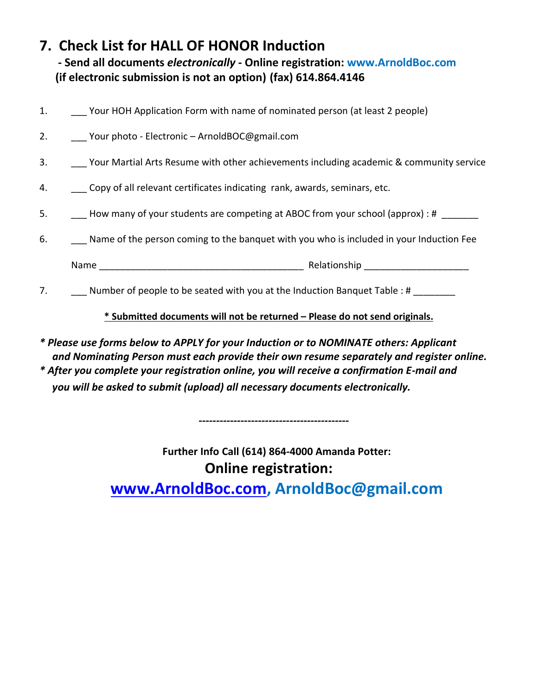# **7. Check List for HALL OF HONOR Induction**

**- Send all documents** *electronically* **- Online registration: www.ArnoldBoc.com (if electronic submission is not an option) (fax) 614.864.4146**

| 1. | Your HOH Application Form with name of nominated person (at least 2 people)                        |
|----|----------------------------------------------------------------------------------------------------|
|    | 2. Your photo - Electronic - ArnoldBOC@gmail.com                                                   |
|    | 3. Your Martial Arts Resume with other achievements including academic & community service         |
|    | 4. Copy of all relevant certificates indicating rank, awards, seminars, etc.                       |
| 5. | - How many of your students are competing at ABOC from your school (approx) : # ______             |
|    | 6. _______ Name of the person coming to the banquet with you who is included in your Induction Fee |
|    |                                                                                                    |
| 7. | Number of people to be seated with you at the Induction Banquet Table : #                          |
|    | * Submitted documents will not be returned - Please do not send originals.                         |
|    |                                                                                                    |

*\* Please use forms below to APPLY for your Induction or to NOMINATE others: Applicant and Nominating Person must each provide their own resume separately and register online. \* After you complete your registration online, you will receive a confirmation E-mail and you will be asked to submit (upload) all necessary documents electronically.* 

> **Further Info Call (614) 864-4000 Amanda Potter: Online registration:**

**[www.ArnoldBoc.com,](http://www.arnoldboc.com/) ArnoldBoc@gmail.com**

 *-------------------------------------------*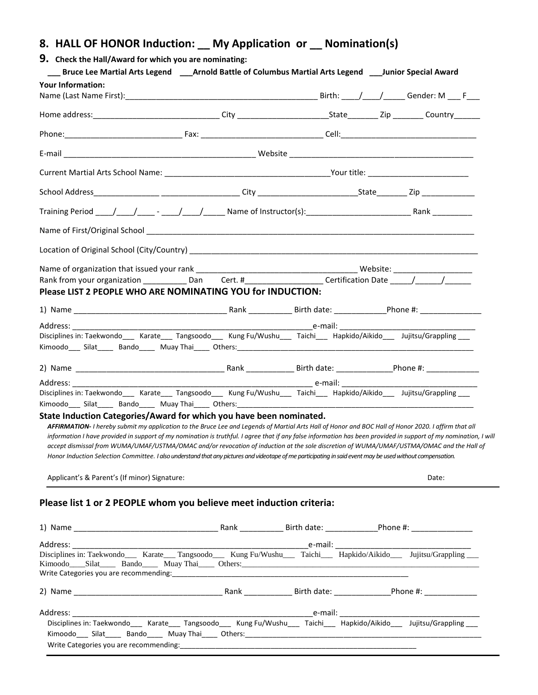### **8. HALL OF HONOR Induction: \_\_ My Application or \_\_ Nomination(s)**

| ___ Bruce Lee Martial Arts Legend ____Arnold Battle of Columbus Martial Arts Legend ____Junior Special Award<br><b>Your Information:</b>                                                                                                                                                                                                                                                                                                                                                                                                                                                                                                                                                                                                                 |  |  |       |
|----------------------------------------------------------------------------------------------------------------------------------------------------------------------------------------------------------------------------------------------------------------------------------------------------------------------------------------------------------------------------------------------------------------------------------------------------------------------------------------------------------------------------------------------------------------------------------------------------------------------------------------------------------------------------------------------------------------------------------------------------------|--|--|-------|
|                                                                                                                                                                                                                                                                                                                                                                                                                                                                                                                                                                                                                                                                                                                                                          |  |  |       |
|                                                                                                                                                                                                                                                                                                                                                                                                                                                                                                                                                                                                                                                                                                                                                          |  |  |       |
|                                                                                                                                                                                                                                                                                                                                                                                                                                                                                                                                                                                                                                                                                                                                                          |  |  |       |
|                                                                                                                                                                                                                                                                                                                                                                                                                                                                                                                                                                                                                                                                                                                                                          |  |  |       |
|                                                                                                                                                                                                                                                                                                                                                                                                                                                                                                                                                                                                                                                                                                                                                          |  |  |       |
|                                                                                                                                                                                                                                                                                                                                                                                                                                                                                                                                                                                                                                                                                                                                                          |  |  |       |
|                                                                                                                                                                                                                                                                                                                                                                                                                                                                                                                                                                                                                                                                                                                                                          |  |  |       |
|                                                                                                                                                                                                                                                                                                                                                                                                                                                                                                                                                                                                                                                                                                                                                          |  |  |       |
|                                                                                                                                                                                                                                                                                                                                                                                                                                                                                                                                                                                                                                                                                                                                                          |  |  |       |
|                                                                                                                                                                                                                                                                                                                                                                                                                                                                                                                                                                                                                                                                                                                                                          |  |  |       |
| Rank from your organization _____________Dan Cert. #_____________________Certification Date _____/_______/_________                                                                                                                                                                                                                                                                                                                                                                                                                                                                                                                                                                                                                                      |  |  |       |
| Please LIST 2 PEOPLE WHO ARE NOMINATING YOU for INDUCTION:                                                                                                                                                                                                                                                                                                                                                                                                                                                                                                                                                                                                                                                                                               |  |  |       |
|                                                                                                                                                                                                                                                                                                                                                                                                                                                                                                                                                                                                                                                                                                                                                          |  |  |       |
|                                                                                                                                                                                                                                                                                                                                                                                                                                                                                                                                                                                                                                                                                                                                                          |  |  |       |
|                                                                                                                                                                                                                                                                                                                                                                                                                                                                                                                                                                                                                                                                                                                                                          |  |  |       |
|                                                                                                                                                                                                                                                                                                                                                                                                                                                                                                                                                                                                                                                                                                                                                          |  |  |       |
|                                                                                                                                                                                                                                                                                                                                                                                                                                                                                                                                                                                                                                                                                                                                                          |  |  |       |
| Disciplines in: Taekwondo___ Karate___ Tangsoodo___ Kung Fu/Wushu___ Taichi___ Hapkido/Aikido___ Jujitsu/Grappling ___<br>Kimoodo___ Silat_____ Bando_____ Muay Thai_____ Others:_________________________                                                                                                                                                                                                                                                                                                                                                                                                                                                                                                                                               |  |  |       |
| State Induction Categories/Award for which you have been nominated.<br>AFFIRMATION-I hereby submit my application to the Bruce Lee and Legends of Martial Arts Hall of Honor and BOC Hall of Honor 2020. I affirm that all<br>information I have provided in support of my nomination is truthful. I agree that if any false information has been provided in support of my nomination, I will<br>accept dismissal from WUMA/UMAF/USTMA/OMAC and/or revocation of induction at the sole discretion of WUMA/UMAF/USTMA/OMAC and the Hall of<br>Honor Induction Selection Committee. I also understand that any pictures and videotape of me participating in said event may be used without compensation.<br>Applicant's & Parent's (If minor) Signature: |  |  | Date: |
| Please list 1 or 2 PEOPLE whom you believe meet induction criteria:                                                                                                                                                                                                                                                                                                                                                                                                                                                                                                                                                                                                                                                                                      |  |  |       |
|                                                                                                                                                                                                                                                                                                                                                                                                                                                                                                                                                                                                                                                                                                                                                          |  |  |       |
|                                                                                                                                                                                                                                                                                                                                                                                                                                                                                                                                                                                                                                                                                                                                                          |  |  |       |
|                                                                                                                                                                                                                                                                                                                                                                                                                                                                                                                                                                                                                                                                                                                                                          |  |  |       |
|                                                                                                                                                                                                                                                                                                                                                                                                                                                                                                                                                                                                                                                                                                                                                          |  |  |       |
|                                                                                                                                                                                                                                                                                                                                                                                                                                                                                                                                                                                                                                                                                                                                                          |  |  |       |
| Address: and the state of the state of the state of the state of the state of the state of the state of the state of the state of the state of the state of the state of the state of the state of the state of the state of t                                                                                                                                                                                                                                                                                                                                                                                                                                                                                                                           |  |  |       |